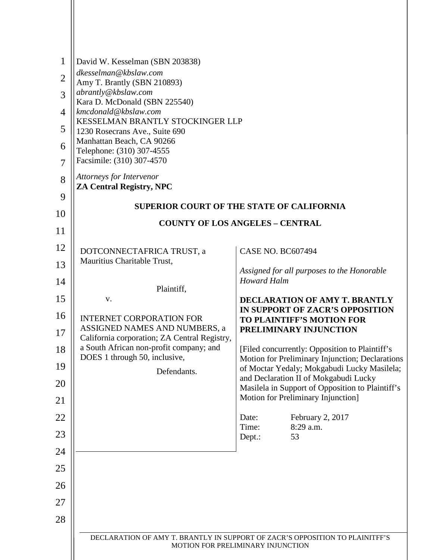| $\mathbf{1}$<br>$\overline{2}$<br>3<br>$\overline{4}$ | David W. Kesselman (SBN 203838)<br>dkesselman@kbslaw.com<br>Amy T. Brantly (SBN 210893)<br>abrantly@kbslaw.com<br>Kara D. McDonald (SBN 225540)<br>kmcdonald@kbslaw.com<br>KESSELMAN BRANTLY STOCKINGER LLP |                                                                                                                                                  |
|-------------------------------------------------------|-------------------------------------------------------------------------------------------------------------------------------------------------------------------------------------------------------------|--------------------------------------------------------------------------------------------------------------------------------------------------|
| 5<br>6                                                | 1230 Rosecrans Ave., Suite 690<br>Manhattan Beach, CA 90266                                                                                                                                                 |                                                                                                                                                  |
| $\overline{7}$                                        | Telephone: (310) 307-4555<br>Facsimile: (310) 307-4570                                                                                                                                                      |                                                                                                                                                  |
| 8                                                     | Attorneys for Intervenor<br><b>ZA Central Registry, NPC</b>                                                                                                                                                 |                                                                                                                                                  |
| 9                                                     |                                                                                                                                                                                                             | <b>SUPERIOR COURT OF THE STATE OF CALIFORNIA</b>                                                                                                 |
| 10                                                    |                                                                                                                                                                                                             |                                                                                                                                                  |
| 11                                                    | <b>COUNTY OF LOS ANGELES - CENTRAL</b>                                                                                                                                                                      |                                                                                                                                                  |
| 12                                                    | DOTCONNECTAFRICA TRUST, a                                                                                                                                                                                   | <b>CASE NO. BC607494</b>                                                                                                                         |
| 13                                                    | Mauritius Charitable Trust,                                                                                                                                                                                 | Assigned for all purposes to the Honorable                                                                                                       |
| 14                                                    | Plaintiff,                                                                                                                                                                                                  | <b>Howard Halm</b>                                                                                                                               |
| 15                                                    | V.                                                                                                                                                                                                          | DECLARATION OF AMY T. BRANTLY                                                                                                                    |
| 16                                                    | <b>INTERNET CORPORATION FOR</b><br>ASSIGNED NAMES AND NUMBERS, a                                                                                                                                            | IN SUPPORT OF ZACR'S OPPOSITION<br><b>TO PLAINTIFF'S MOTION FOR</b><br>PRELIMINARY INJUNCTION                                                    |
| 17                                                    | California corporation; ZA Central Registry,                                                                                                                                                                |                                                                                                                                                  |
| 18<br>19                                              | a South African non-profit company; and<br>DOES 1 through 50, inclusive,                                                                                                                                    | [Filed concurrently: Opposition to Plaintiff's<br>Motion for Preliminary Injunction; Declarations<br>of Moctar Yedaly; Mokgabudi Lucky Masilela; |
| 20                                                    | Defendants.                                                                                                                                                                                                 | and Declaration II of Mokgabudi Lucky<br>Masilela in Support of Opposition to Plaintiff's                                                        |
| 21                                                    |                                                                                                                                                                                                             | Motion for Preliminary Injunction]                                                                                                               |
| 22                                                    |                                                                                                                                                                                                             | February 2, 2017<br>Date:                                                                                                                        |
| 23                                                    |                                                                                                                                                                                                             | Time:<br>8:29 a.m.<br>Dept.:<br>53                                                                                                               |
| 24                                                    |                                                                                                                                                                                                             |                                                                                                                                                  |
| 25                                                    |                                                                                                                                                                                                             |                                                                                                                                                  |
| 26                                                    |                                                                                                                                                                                                             |                                                                                                                                                  |
| 27                                                    |                                                                                                                                                                                                             |                                                                                                                                                  |
| 28                                                    |                                                                                                                                                                                                             |                                                                                                                                                  |
|                                                       |                                                                                                                                                                                                             | DECLARATION OF AMY T. BRANTLY IN SUPPORT OF ZACR'S OPPOSITION TO PLAINITFF'S<br>MOTION FOR PRELIMINARY INJUNCTION                                |